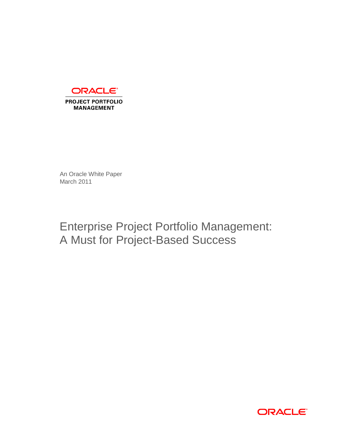

An Oracle White Paper March 2011

Enterprise Project Portfolio Management: A Must for Project-Based Success

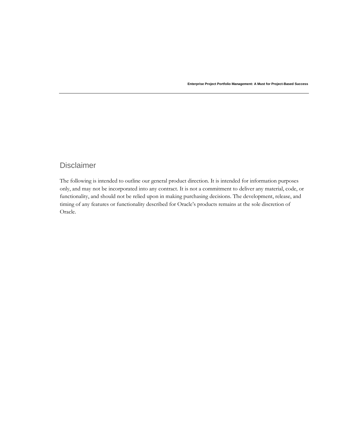# Disclaimer

The following is intended to outline our general product direction. It is intended for information purposes only, and may not be incorporated into any contract. It is not a commitment to deliver any material, code, or functionality, and should not be relied upon in making purchasing decisions. The development, release, and timing of any features or functionality described for Oracle's products remains at the sole discretion of Oracle.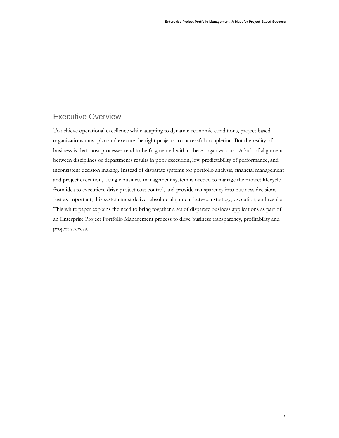**1**

# Executive Overview

To achieve operational excellence while adapting to dynamic economic conditions, project based organizations must plan and execute the right projects to successful completion. But the reality of business is that most processes tend to be fragmented within these organizations. A lack of alignment between disciplines or departments results in poor execution, low predictability of performance, and inconsistent decision making. Instead of disparate systems for portfolio analysis, financial management and project execution, a single business management system is needed to manage the project lifecycle from idea to execution, drive project cost control, and provide transparency into business decisions. Just as important, this system must deliver absolute alignment between strategy, execution, and results. This white paper explains the need to bring together a set of disparate business applications as part of an Enterprise Project Portfolio Management process to drive business transparency, profitability and project success.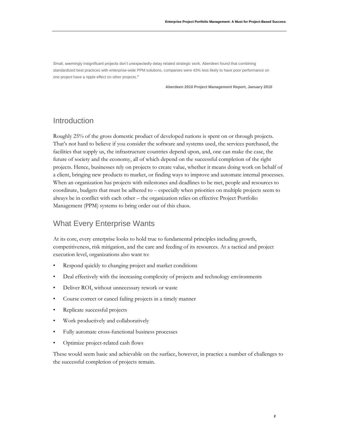Small, seemingly insignificant projects don't unexpectedly delay related strategic work. Aberdeen found that combining standardized best practices with enterprise-wide PPM solutions, companies were 43% less likely to have poor performance on one project have a ripple effect on other projects.**"**

**Aberdeen 2010 Project Management Report, January 2010**

## Introduction

Roughly 25% of the gross domestic product of developed nations is spent on or through projects. That's not hard to believe if you consider the software and systems used, the services purchased, the facilities that supply us, the infrastructure countries depend upon, and, one can make the case, the future of society and the economy, all of which depend on the successful completion of the right projects. Hence, businesses rely on projects to create value, whether it means doing work on behalf of a client, bringing new products to market, or finding ways to improve and automate internal processes. When an organization has projects with milestones and deadlines to be met, people and resources to coordinate, budgets that must be adhered to – especially when priorities on multiple projects seem to always be in conflict with each other – the organization relies on effective Project Portfolio Management (PPM) systems to bring order out of this chaos.

# What Every Enterprise Wants

At its core, every enterprise looks to hold true to fundamental principles including growth, competitiveness, risk mitigation, and the care and feeding of its resources. At a tactical and project execution level, organizations also want to:

- Respond quickly to changing project and market conditions
- Deal effectively with the increasing complexity of projects and technology environments
- Deliver ROI, without unnecessary rework or waste
- Course correct or cancel failing projects in a timely manner
- Replicate successful projects
- Work productively and collaboratively
- Fully automate cross-functional business processes
- Optimize project-related cash flows

These would seem basic and achievable on the surface, however, in practice a number of challenges to the successful completion of projects remain.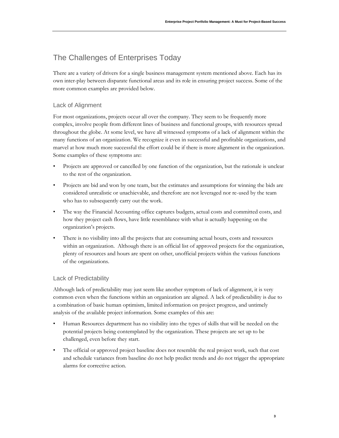# The Challenges of Enterprises Today

There are a variety of drivers for a single business management system mentioned above. Each has its own inter-play between disparate functional areas and its role in ensuring project success. Some of the more common examples are provided below.

### Lack of Alignment

For most organizations, projects occur all over the company. They seem to be frequently more complex, involve people from different lines of business and functional groups, with resources spread throughout the globe. At some level, we have all witnessed symptoms of a lack of alignment within the many functions of an organization. We recognize it even in successful and profitable organizations, and marvel at how much more successful the effort could be if there is more alignment in the organization. Some examples of these symptoms are:

- Projects are approved or cancelled by one function of the organization, but the rationale is unclear to the rest of the organization.
- Projects are bid and won by one team, but the estimates and assumptions for winning the bids are considered unrealistic or unachievable, and therefore are not leveraged nor re-used by the team who has to subsequently carry out the work.
- The way the Financial Accounting office captures budgets, actual costs and committed costs, and how they project cash flows, have little resemblance with what is actually happening on the organization's projects.
- There is no visibility into all the projects that are consuming actual hours, costs and resources within an organization. Although there is an official list of approved projects for the organization, plenty of resources and hours are spent on other, unofficial projects within the various functions of the organizations.

### Lack of Predictability

Although lack of predictability may just seem like another symptom of lack of alignment, it is very common even when the functions within an organization are aligned. A lack of predictability is due to a combination of basic human optimism, limited information on project progress, and untimely analysis of the available project information. Some examples of this are:

- Human Resources department has no visibility into the types of skills that will be needed on the potential projects being contemplated by the organization. These projects are set up to be challenged, even before they start.
- The official or approved project baseline does not resemble the real project work, such that cost and schedule variances from baseline do not help predict trends and do not trigger the appropriate alarms for corrective action.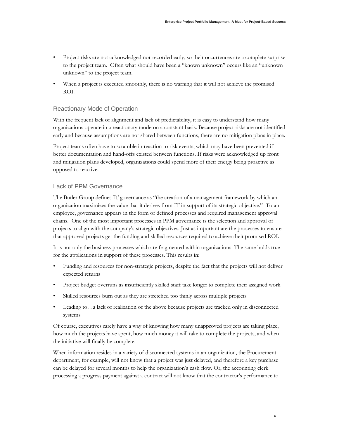- Project risks are not acknowledged nor recorded early, so their occurrences are a complete surprise to the project team. Often what should have been a "known unknown" occurs like an "unknown unknown" to the project team.
- When a project is executed smoothly, there is no warning that it will not achieve the promised ROI.

#### Reactionary Mode of Operation

With the frequent lack of alignment and lack of predictability, it is easy to understand how many organizations operate in a reactionary mode on a constant basis. Because project risks are not identified early and because assumptions are not shared between functions, there are no mitigation plans in place.

Project teams often have to scramble in reaction to risk events, which may have been prevented if better documentation and hand-offs existed between functions. If risks were acknowledged up front and mitigation plans developed, organizations could spend more of their energy being proactive as opposed to reactive.

#### Lack of PPM Governance

The Butler Group defines IT governance as "the creation of a management framework by which an organization maximizes the value that it derives from IT in support of its strategic objective." To an employee, governance appears in the form of defined processes and required management approval chains. One of the most important processes in PPM governance is the selection and approval of projects to align with the company's strategic objectives. Just as important are the processes to ensure that approved projects get the funding and skilled resources required to achieve their promised ROI.

It is not only the business processes which are fragmented within organizations. The same holds true for the applications in support of these processes. This results in:

- Funding and resources for non-strategic projects, despite the fact that the projects will not deliver expected returns
- Project budget overruns as insufficiently skilled staff take longer to complete their assigned work
- Skilled resources burn out as they are stretched too thinly across multiple projects
- Leading to...a lack of realization of the above because projects are tracked only in disconnected systems

Of course, executives rarely have a way of knowing how many unapproved projects are taking place, how much the projects have spent, how much money it will take to complete the projects, and when the initiative will finally be complete.

When information resides in a variety of disconnected systems in an organization, the Procurement department, for example, will not know that a project was just delayed, and therefore a key purchase can be delayed for several months to help the organization's cash flow. Or, the accounting clerk processing a progress payment against a contract will not know that the contractor's performance to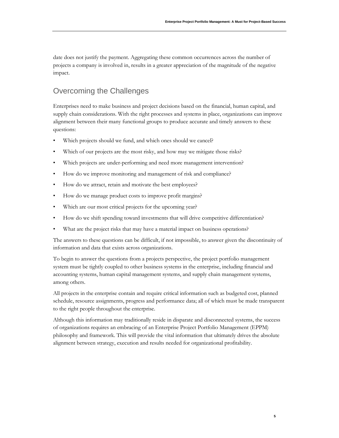date does not justify the payment. Aggregating these common occurrences across the number of projects a company is involved in, results in a greater appreciation of the magnitude of the negative impact.

# Overcoming the Challenges

Enterprises need to make business and project decisions based on the financial, human capital, and supply chain considerations. With the right processes and systems in place, organizations can improve alignment between their many functional groups to produce accurate and timely answers to these questions:

- Which projects should we fund, and which ones should we cancel?
- Which of our projects are the most risky, and how may we mitigate those risks?
- Which projects are under-performing and need more management intervention?
- How do we improve monitoring and management of risk and compliance?
- How do we attract, retain and motivate the best employees?
- How do we manage product costs to improve profit margins?
- Which are our most critical projects for the upcoming year?
- How do we shift spending toward investments that will drive competitive differentiation?
- What are the project risks that may have a material impact on business operations?

The answers to these questions can be difficult, if not impossible, to answer given the discontinuity of information and data that exists across organizations.

To begin to answer the questions from a projects perspective, the project portfolio management system must be tightly coupled to other business systems in the enterprise, including financial and accounting systems, human capital management systems, and supply chain management systems, among others.

All projects in the enterprise contain and require critical information such as budgeted cost, planned schedule, resource assignments, progress and performance data; all of which must be made transparent to the right people throughout the enterprise.

Although this information may traditionally reside in disparate and disconnected systems, the success of organizations requires an embracing of an Enterprise Project Portfolio Management (EPPM) philosophy and framework. This will provide the vital information that ultimately drives the absolute alignment between strategy, execution and results needed for organizational profitability.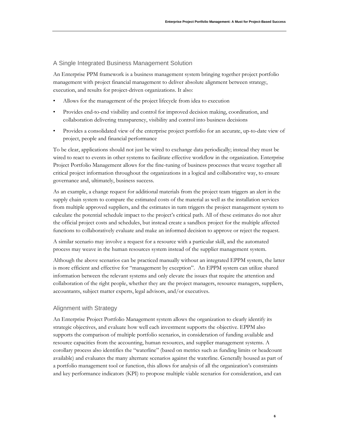#### A Single Integrated Business Management Solution

An Enterprise PPM framework is a business management system bringing together project portfolio management with project financial management to deliver absolute alignment between strategy, execution, and results for project-driven organizations. It also:

- Allows for the management of the project lifecycle from idea to execution
- Provides end-to-end visibility and control for improved decision making, coordination, and collaboration delivering transparency, visibility and control into business decisions
- Provides a consolidated view of the enterprise project portfolio for an accurate, up-to-date view of project, people and financial performance

To be clear, applications should not just be wired to exchange data periodically; instead they must be wired to react to events in other systems to facilitate effective workflow in the organization. Enterprise Project Portfolio Management allows for the fine-tuning of business processes that weave together all critical project information throughout the organizations in a logical and collaborative way, to ensure governance and, ultimately, business success.

As an example, a change request for additional materials from the project team triggers an alert in the supply chain system to compare the estimated costs of the material as well as the installation services from multiple approved suppliers, and the estimates in turn triggers the project management system to calculate the potential schedule impact to the project's critical path. All of these estimates do not alter the official project costs and schedules, but instead create a sandbox project for the multiple affected functions to collaboratively evaluate and make an informed decision to approve or reject the request.

A similar scenario may involve a request for a resource with a particular skill, and the automated process may weave in the human resources system instead of the supplier management system.

Although the above scenarios can be practiced manually without an integrated EPPM system, the latter is more efficient and effective for "management by exception". An EPPM system can utilize shared information between the relevant systems and only elevate the issues that require the attention and collaboration of the right people, whether they are the project managers, resource managers, suppliers, accountants, subject matter experts, legal advisors, and/or executives.

#### Alignment with Strategy

An Enterprise Project Portfolio Management system allows the organization to clearly identify its strategic objectives, and evaluate how well each investment supports the objective. EPPM also supports the comparison of multiple portfolio scenarios, in consideration of funding available and resource capacities from the accounting, human resources, and supplier management systems. A corollary process also identifies the "waterline" (based on metrics such as funding limits or headcount available) and evaluates the many alternate scenarios against the waterline. Generally housed as part of a portfolio management tool or function, this allows for analysis of all the organization's constraints and key performance indicators (KPI) to propose multiple viable scenarios for consideration, and can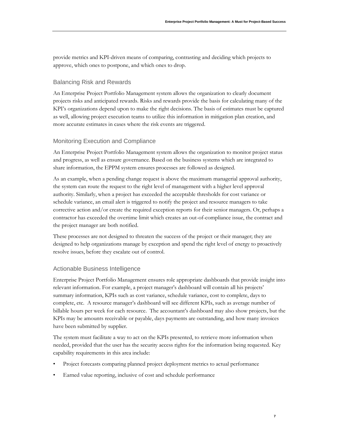provide metrics and KPI-driven means of comparing, contrasting and deciding which projects to approve, which ones to postpone, and which ones to drop.

#### Balancing Risk and Rewards

An Enterprise Project Portfolio Management system allows the organization to clearly document projects risks and anticipated rewards. Risks and rewards provide the basis for calculating many of the KPI's organizations depend upon to make the right decisions. The basis of estimates must be captured as well, allowing project execution teams to utilize this information in mitigation plan creation, and more accurate estimates in cases where the risk events are triggered.

### Monitoring Execution and Compliance

An Enterprise Project Portfolio Management system allows the organization to monitor project status and progress, as well as ensure governance. Based on the business systems which are integrated to share information, the EPPM system ensures processes are followed as designed.

As an example, when a pending change request is above the maximum managerial approval authority, the system can route the request to the right level of management with a higher level approval authority. Similarly, when a project has exceeded the acceptable thresholds for cost variance or schedule variance, an email alert is triggered to notify the project and resource managers to take corrective action and/or create the required exception reports for their senior managers. Or, perhaps a contractor has exceeded the overtime limit which creates an out-of-compliance issue, the contract and the project manager are both notified.

These processes are not designed to threaten the success of the project or their manager; they are designed to help organizations manage by exception and spend the right level of energy to proactively resolve issues, before they escalate out of control.

#### Actionable Business Intelligence

Enterprise Project Portfolio Management ensures role appropriate dashboards that provide insight into relevant information. For example, a project manager's dashboard will contain all his projects' summary information, KPIs such as cost variance, schedule variance, cost to complete, days to complete, etc. A resource manager's dashboard will see different KPIs, such as average number of billable hours per week for each resource. The accountant's dashboard may also show projects, but the KPIs may be amounts receivable or payable, days payments are outstanding, and how many invoices have been submitted by supplier.

The system must facilitate a way to act on the KPIs presented, to retrieve more information when needed, provided that the user has the security access rights for the information being requested. Key capability requirements in this area include:

- Project forecasts comparing planned project deployment metrics to actual performance
- Earned value reporting, inclusive of cost and schedule performance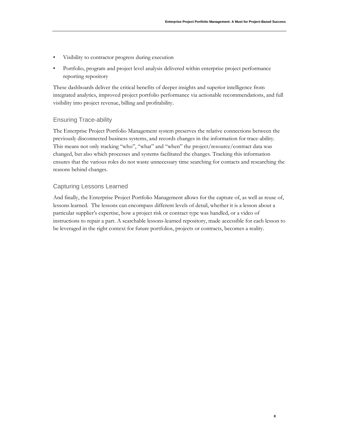**8**

- Visibility to contractor progress during execution
- Portfolio, program and project level analysis delivered within enterprise project performance reporting repository

These dashboards deliver the critical benefits of deeper insights and superior intelligence from integrated analytics, improved project portfolio performance via actionable recommendations, and full visibility into project revenue, billing and profitability.

#### Ensuring Trace-ability

The Enterprise Project Portfolio Management system preserves the relative connections between the previously disconnected business systems, and records changes in the information for trace-ability. This means not only tracking "who", "what" and "when" the project/resource/contract data was changed, but also which processes and systems facilitated the changes. Tracking this information ensures that the various roles do not waste unnecessary time searching for contacts and researching the reasons behind changes.

#### Capturing Lessons Learned

And finally, the Enterprise Project Portfolio Management allows for the capture of, as well as reuse of, lessons learned. The lessons can encompass different levels of detail, whether it is a lesson about a particular supplier's expertise, how a project risk or contract type was handled, or a video of instructions to repair a part. A searchable lessons-learned repository, made accessible for each lesson to be leveraged in the right context for future portfolios, projects or contracts, becomes a reality.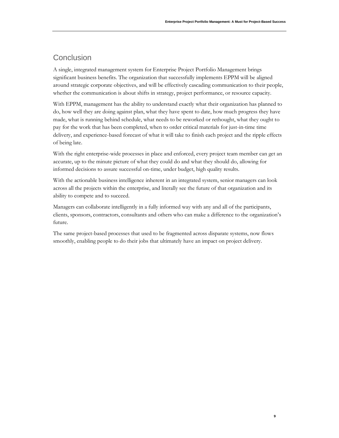**9**

# **Conclusion**

A single, integrated management system for Enterprise Project Portfolio Management brings significant business benefits. The organization that successfully implements EPPM will be aligned around strategic corporate objectives, and will be effectively cascading communication to their people, whether the communication is about shifts in strategy, project performance, or resource capacity.

With EPPM, management has the ability to understand exactly what their organization has planned to do, how well they are doing against plan, what they have spent to date, how much progress they have made, what is running behind schedule, what needs to be reworked or rethought, what they ought to pay for the work that has been completed, when to order critical materials for just-in-time time delivery, and experience-based forecast of what it will take to finish each project and the ripple effects of being late.

With the right enterprise-wide processes in place and enforced, every project team member can get an accurate, up to the minute picture of what they could do and what they should do, allowing for informed decisions to assure successful on-time, under budget, high quality results.

With the actionable business intelligence inherent in an integrated system, senior managers can look across all the projects within the enterprise, and literally see the future of that organization and its ability to compete and to succeed.

Managers can collaborate intelligently in a fully informed way with any and all of the participants, clients, sponsors, contractors, consultants and others who can make a difference to the organization's future.

The same project-based processes that used to be fragmented across disparate systems, now flows smoothly, enabling people to do their jobs that ultimately have an impact on project delivery.